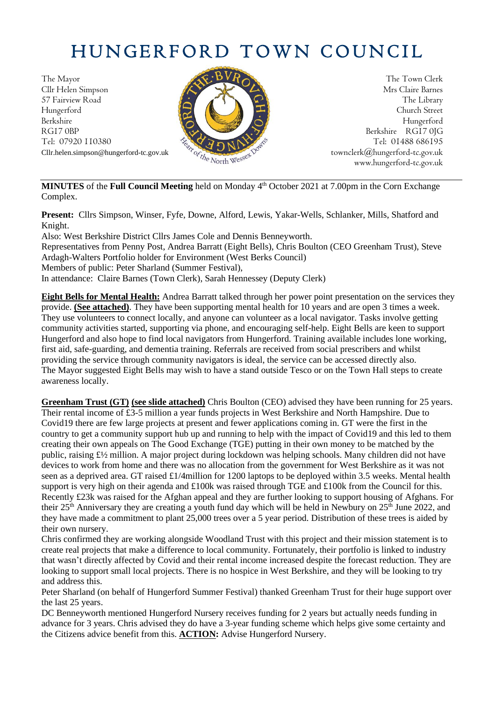# HUNGERFORD TOWN COUNCIL

The Mayor The Town Clerk Cllr Helen Simpson Mrs Claire Barnes 57 Fairview Road The Library (2018) The Library Hungerford Church Street Berkshire Hungerford RG17 0BP Berkshire RG17 0JG Berkshire RG17 0JG Tel: 07920 110380



Cllr.helen.simpson@hungerford-tc.gov.uk [townclerk@hungerford-tc.gov.uk](mailto:townclerk@hungerford-tc.gov.uk) townclerk@hungerford-tc.gov.uk www.hungerford-tc.gov.uk www.hungerford-tc.gov.uk

**MINUTES** of the **Full Council Meeting** held on Monday 4 th October 2021 at 7.00pm in the Corn Exchange Complex.

**Present:** Cllrs Simpson, Winser, Fyfe, Downe, Alford, Lewis, Yakar-Wells, Schlanker, Mills, Shatford and Knight.

Also: West Berkshire District Cllrs James Cole and Dennis Benneyworth. Representatives from Penny Post, Andrea Barratt (Eight Bells), Chris Boulton (CEO Greenham Trust), Steve Ardagh-Walters Portfolio holder for Environment (West Berks Council) Members of public: Peter Sharland (Summer Festival), In attendance: Claire Barnes (Town Clerk), Sarah Hennessey (Deputy Clerk)

**Eight Bells for Mental Health:** Andrea Barratt talked through her power point presentation on the services they provide. **(See attached)**. They have been supporting mental health for 10 years and are open 3 times a week. They use volunteers to connect locally, and anyone can volunteer as a local navigator. Tasks involve getting community activities started, supporting via phone, and encouraging self-help. Eight Bells are keen to support Hungerford and also hope to find local navigators from Hungerford. Training available includes lone working, first aid, safe-guarding, and dementia training. Referrals are received from social prescribers and whilst providing the service through community navigators is ideal, the service can be accessed directly also. The Mayor suggested Eight Bells may wish to have a stand outside Tesco or on the Town Hall steps to create awareness locally.

**Greenham Trust (GT) (see slide attached)** Chris Boulton (CEO) advised they have been running for 25 years. Their rental income of £3-5 million a year funds projects in West Berkshire and North Hampshire. Due to Covid19 there are few large projects at present and fewer applications coming in. GT were the first in the country to get a community support hub up and running to help with the impact of Covid19 and this led to them creating their own appeals on The Good Exchange (TGE) putting in their own money to be matched by the public, raising £½ million. A major project during lockdown was helping schools. Many children did not have devices to work from home and there was no allocation from the government for West Berkshire as it was not seen as a deprived area. GT raised £1/4million for 1200 laptops to be deployed within 3.5 weeks. Mental health support is very high on their agenda and £100k was raised through TGE and £100k from the Council for this. Recently £23k was raised for the Afghan appeal and they are further looking to support housing of Afghans. For their  $25<sup>th</sup>$  Anniversary they are creating a youth fund day which will be held in Newbury on  $25<sup>th</sup>$  June 2022, and they have made a commitment to plant 25,000 trees over a 5 year period. Distribution of these trees is aided by their own nursery.

Chris confirmed they are working alongside Woodland Trust with this project and their mission statement is to create real projects that make a difference to local community. Fortunately, their portfolio is linked to industry that wasn't directly affected by Covid and their rental income increased despite the forecast reduction. They are looking to support small local projects. There is no hospice in West Berkshire, and they will be looking to try and address this.

Peter Sharland (on behalf of Hungerford Summer Festival) thanked Greenham Trust for their huge support over the last 25 years.

DC Benneyworth mentioned Hungerford Nursery receives funding for 2 years but actually needs funding in advance for 3 years. Chris advised they do have a 3-year funding scheme which helps give some certainty and the Citizens advice benefit from this. **ACTION:** Advise Hungerford Nursery.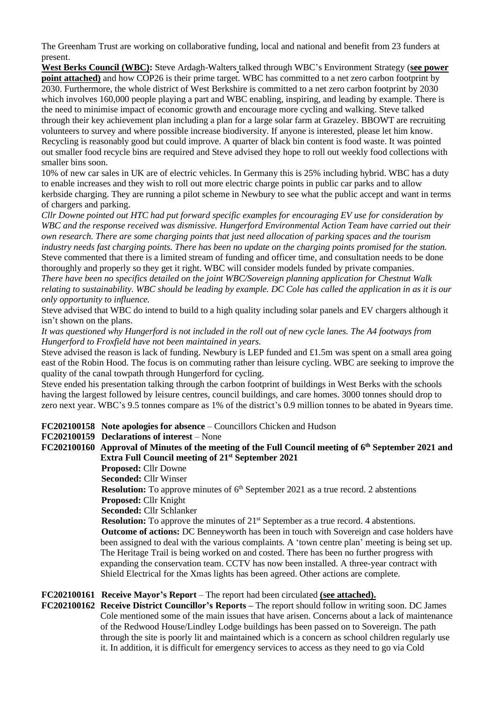The Greenham Trust are working on collaborative funding, local and national and benefit from 23 funders at present.

**West Berks Council (WBC):** Steve Ardagh-Walters talked through WBC's Environment Strategy (**see power point attached)** and how COP26 is their prime target. WBC has committed to a net zero carbon footprint by 2030. Furthermore, the whole district of West Berkshire is committed to a net zero carbon footprint by 2030 which involves 160,000 people playing a part and WBC enabling, inspiring, and leading by example. There is the need to minimise impact of economic growth and encourage more cycling and walking. Steve talked through their key achievement plan including a plan for a large solar farm at Grazeley. BBOWT are recruiting volunteers to survey and where possible increase biodiversity. If anyone is interested, please let him know. Recycling is reasonably good but could improve. A quarter of black bin content is food waste. It was pointed out smaller food recycle bins are required and Steve advised they hope to roll out weekly food collections with smaller bins soon.

10% of new car sales in UK are of electric vehicles. In Germany this is 25% including hybrid. WBC has a duty to enable increases and they wish to roll out more electric charge points in public car parks and to allow kerbside charging. They are running a pilot scheme in Newbury to see what the public accept and want in terms of chargers and parking.

*Cllr Downe pointed out HTC had put forward specific examples for encouraging EV use for consideration by WBC and the response received was dismissive. Hungerford Environmental Action Team have carried out their own research. There are some charging points that just need allocation of parking spaces and the tourism industry needs fast charging points. There has been no update on the charging points promised for the station.* Steve commented that there is a limited stream of funding and officer time, and consultation needs to be done thoroughly and properly so they get it right. WBC will consider models funded by private companies. *There have been no specifics detailed on the joint WBC/Sovereign planning application for Chestnut Walk relating to sustainability. WBC should be leading by example. DC Cole has called the application in as it is our* 

*only opportunity to influence.*

Steve advised that WBC do intend to build to a high quality including solar panels and EV chargers although it isn't shown on the plans.

*It was questioned why Hungerford is not included in the roll out of new cycle lanes. The A4 footways from Hungerford to Froxfield have not been maintained in years.* 

Steve advised the reason is lack of funding. Newbury is LEP funded and £1.5m was spent on a small area going east of the Robin Hood. The focus is on commuting rather than leisure cycling. WBC are seeking to improve the quality of the canal towpath through Hungerford for cycling.

Steve ended his presentation talking through the carbon footprint of buildings in West Berks with the schools having the largest followed by leisure centres, council buildings, and care homes. 3000 tonnes should drop to zero next year. WBC's 9.5 tonnes compare as 1% of the district's 0.9 million tonnes to be abated in 9years time.

**FC202100158 Note apologies for absence** – Councillors Chicken and Hudson

#### **FC202100159 Declarations of interest** – None

## **FC202100160 Approval of Minutes of the meeting of the Full Council meeting of 6th September 2021 and Extra Full Council meeting of 21st September 2021**

**Proposed:** Cllr Downe

**Seconded:** Cllr Winser

**Resolution:** To approve minutes of 6<sup>th</sup> September 2021 as a true record. 2 abstentions **Proposed:** Cllr Knight

**Seconded:** Cllr Schlanker

**Resolution:** To approve the minutes of 21<sup>st</sup> September as a true record. 4 abstentions. **Outcome of actions:** DC Benneyworth has been in touch with Sovereign and case holders have been assigned to deal with the various complaints. A 'town centre plan' meeting is being set up. The Heritage Trail is being worked on and costed. There has been no further progress with expanding the conservation team. CCTV has now been installed. A three-year contract with Shield Electrical for the Xmas lights has been agreed. Other actions are complete.

# **FC202100161 Receive Mayor's Report** – The report had been circulated **(see attached).**

**FC202100162 Receive District Councillor's Reports –** The report should follow in writing soon. DC James Cole mentioned some of the main issues that have arisen. Concerns about a lack of maintenance of the Redwood House/Lindley Lodge buildings has been passed on to Sovereign. The path through the site is poorly lit and maintained which is a concern as school children regularly use it. In addition, it is difficult for emergency services to access as they need to go via Cold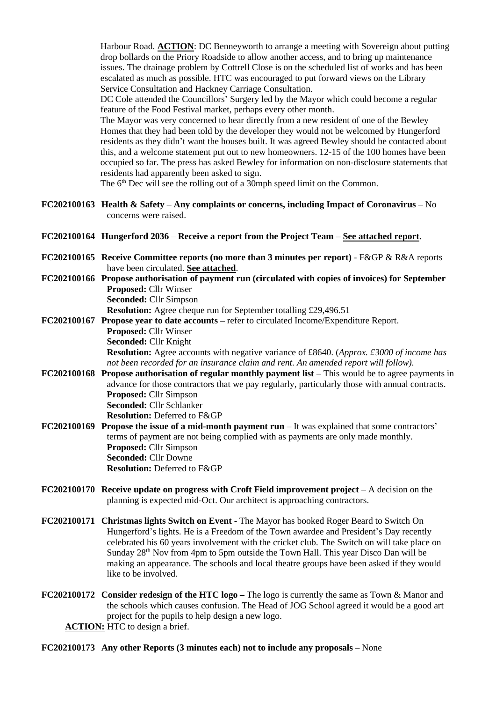Harbour Road. **ACTION**: DC Benneyworth to arrange a meeting with Sovereign about putting drop bollards on the Priory Roadside to allow another access, and to bring up maintenance issues. The drainage problem by Cottrell Close is on the scheduled list of works and has been escalated as much as possible. HTC was encouraged to put forward views on the Library Service Consultation and Hackney Carriage Consultation.

DC Cole attended the Councillors' Surgery led by the Mayor which could become a regular feature of the Food Festival market, perhaps every other month.

The Mayor was very concerned to hear directly from a new resident of one of the Bewley Homes that they had been told by the developer they would not be welcomed by Hungerford residents as they didn't want the houses built. It was agreed Bewley should be contacted about this, and a welcome statement put out to new homeowners. 12-15 of the 100 homes have been occupied so far. The press has asked Bewley for information on non-disclosure statements that residents had apparently been asked to sign.

The 6<sup>th</sup> Dec will see the rolling out of a 30mph speed limit on the Common.

**FC202100163 Health & Safety** – **Any complaints or concerns, including Impact of Coronavirus** – No concerns were raised.

#### **FC202100164 Hungerford 2036** – **Receive a report from the Project Team – See attached report.**

- **FC202100165 Receive Committee reports (no more than 3 minutes per report)** F&GP & R&A reports have been circulated. **See attached**.
- **FC202100166 Propose authorisation of payment run (circulated with copies of invoices) for September Proposed:** Cllr Winser **Seconded:** Cllr Simpson

**Resolution:** Agree cheque run for September totalling £29,496.51

**FC202100167 Propose year to date accounts –** refer to circulated Income/Expenditure Report. **Proposed:** Cllr Winser **Seconded:** Cllr Knight **Resolution:** Agree accounts with negative variance of £8640. (*Approx. £3000 of income has not been recorded for an insurance claim and rent. An amended report will follow).*

- **FC202100168 Propose authorisation of regular monthly payment list –** This would be to agree payments in advance for those contractors that we pay regularly, particularly those with annual contracts. **Proposed:** Cllr Simpson **Seconded:** Cllr Schlanker **Resolution:** Deferred to F&GP
- **FC202100169 Propose the issue of a mid-month payment run –** It was explained that some contractors' terms of payment are not being complied with as payments are only made monthly. **Proposed:** Cllr Simpson **Seconded:** Cllr Downe **Resolution:** Deferred to F&GP
- **FC202100170 Receive update on progress with Croft Field improvement project** A decision on the planning is expected mid-Oct. Our architect is approaching contractors.
- **FC202100171 Christmas lights Switch on Event -** The Mayor has booked Roger Beard to Switch On Hungerford's lights. He is a Freedom of the Town awardee and President's Day recently celebrated his 60 years involvement with the cricket club. The Switch on will take place on Sunday 28th Nov from 4pm to 5pm outside the Town Hall. This year Disco Dan will be making an appearance. The schools and local theatre groups have been asked if they would like to be involved.
- **FC202100172 Consider redesign of the HTC logo –** The logo is currently the same as Town & Manor and the schools which causes confusion. The Head of JOG School agreed it would be a good art project for the pupils to help design a new logo.

**ACTION:** HTC to design a brief.

#### **FC202100173 Any other Reports (3 minutes each) not to include any proposals** – None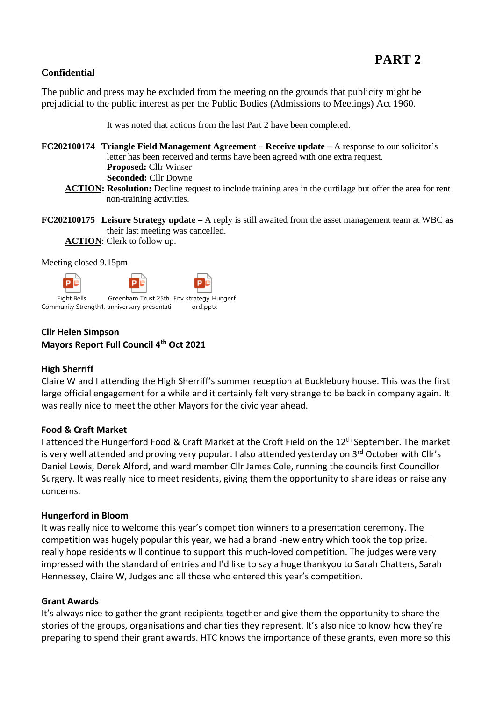# **Confidential**

The public and press may be excluded from the meeting on the grounds that publicity might be prejudicial to the public interest as per the Public Bodies (Admissions to Meetings) Act 1960.

It was noted that actions from the last Part 2 have been completed.

**FC202100174 Triangle Field Management Agreement – Receive update –** A response to our solicitor's letter has been received and terms have been agreed with one extra request. **Proposed:** Cllr Winser **Seconded:** Cllr Downe

**ACTION: Resolution:** Decline request to include training area in the curtilage but offer the area for rent non-training activities.

**FC202100175 Leisure Strategy update –** A reply is still awaited from the asset management team at WBC **as**  their last meeting was cancelled. **ACTION**: Clerk to follow up.

Meeting closed 9.15pm



Community Strength1. anniversary presentati ord.pp ord.pptx

# **Cllr Helen Simpson Mayors Report Full Council 4th Oct 2021**

## **High Sherriff**

Claire W and I attending the High Sherriff's summer reception at Bucklebury house. This was the first large official engagement for a while and it certainly felt very strange to be back in company again. It was really nice to meet the other Mayors for the civic year ahead.

## **Food & Craft Market**

I attended the Hungerford Food & Craft Market at the Croft Field on the 12<sup>th</sup> September. The market is very well attended and proving very popular. I also attended yesterday on 3rd October with Cllr's Daniel Lewis, Derek Alford, and ward member Cllr James Cole, running the councils first Councillor Surgery. It was really nice to meet residents, giving them the opportunity to share ideas or raise any concerns.

#### **Hungerford in Bloom**

It was really nice to welcome this year's competition winners to a presentation ceremony. The competition was hugely popular this year, we had a brand -new entry which took the top prize. I really hope residents will continue to support this much-loved competition. The judges were very impressed with the standard of entries and I'd like to say a huge thankyou to Sarah Chatters, Sarah Hennessey, Claire W, Judges and all those who entered this year's competition.

#### **Grant Awards**

It's always nice to gather the grant recipients together and give them the opportunity to share the stories of the groups, organisations and charities they represent. It's also nice to know how they're preparing to spend their grant awards. HTC knows the importance of these grants, even more so this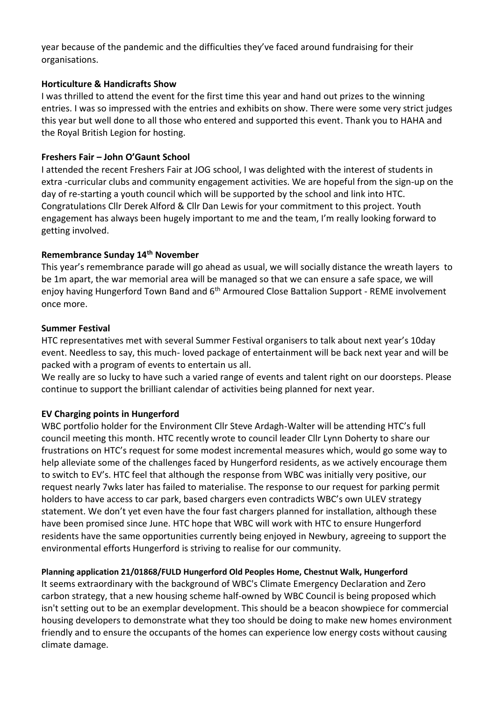year because of the pandemic and the difficulties they've faced around fundraising for their organisations.

# **Horticulture & Handicrafts Show**

I was thrilled to attend the event for the first time this year and hand out prizes to the winning entries. I was so impressed with the entries and exhibits on show. There were some very strict judges this year but well done to all those who entered and supported this event. Thank you to HAHA and the Royal British Legion for hosting.

# **Freshers Fair – John O'Gaunt School**

I attended the recent Freshers Fair at JOG school, I was delighted with the interest of students in extra -curricular clubs and community engagement activities. We are hopeful from the sign-up on the day of re-starting a youth council which will be supported by the school and link into HTC. Congratulations Cllr Derek Alford & Cllr Dan Lewis for your commitment to this project. Youth engagement has always been hugely important to me and the team, I'm really looking forward to getting involved.

# **Remembrance Sunday 14th November**

This year's remembrance parade will go ahead as usual, we will socially distance the wreath layers to be 1m apart, the war memorial area will be managed so that we can ensure a safe space, we will enjoy having Hungerford Town Band and 6<sup>th</sup> Armoured Close Battalion Support - REME involvement once more.

# **Summer Festival**

HTC representatives met with several Summer Festival organisers to talk about next year's 10day event. Needless to say, this much- loved package of entertainment will be back next year and will be packed with a program of events to entertain us all.

We really are so lucky to have such a varied range of events and talent right on our doorsteps. Please continue to support the brilliant calendar of activities being planned for next year.

# **EV Charging points in Hungerford**

WBC portfolio holder for the Environment Cllr Steve Ardagh-Walter will be attending HTC's full council meeting this month. HTC recently wrote to council leader Cllr Lynn Doherty to share our frustrations on HTC's request for some modest incremental measures which, would go some way to help alleviate some of the challenges faced by Hungerford residents, as we actively encourage them to switch to EV's. HTC feel that although the response from WBC was initially very positive, our request nearly 7wks later has failed to materialise. The response to our request for parking permit holders to have access to car park, based chargers even contradicts WBC's own ULEV strategy statement. We don't yet even have the four fast chargers planned for installation, although these have been promised since June. HTC hope that WBC will work with HTC to ensure Hungerford residents have the same opportunities currently being enjoyed in Newbury, agreeing to support the environmental efforts Hungerford is striving to realise for our community.

## **Planning application 21/01868/FULD Hungerford Old Peoples Home, Chestnut Walk, Hungerford**

It seems extraordinary with the background of WBC's Climate Emergency Declaration and Zero carbon strategy, that a new housing scheme half-owned by WBC Council is being proposed which isn't setting out to be an exemplar development. This should be a beacon showpiece for commercial housing developers to demonstrate what they too should be doing to make new homes environment friendly and to ensure the occupants of the homes can experience low energy costs without causing climate damage.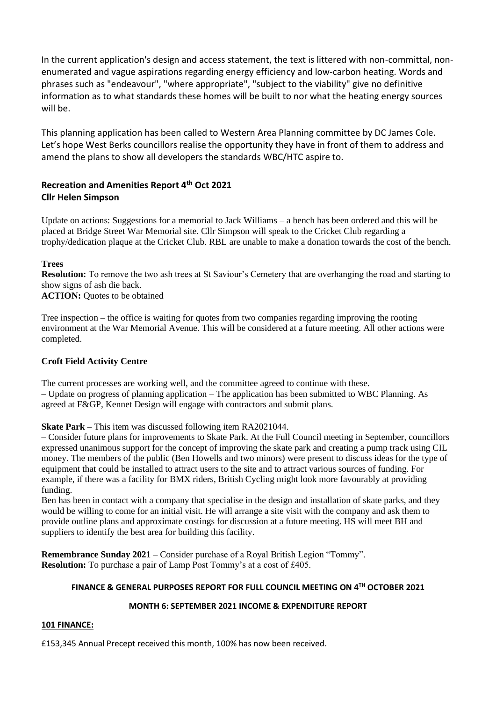In the current application's design and access statement, the text is littered with non-committal, nonenumerated and vague aspirations regarding energy efficiency and low-carbon heating. Words and phrases such as "endeavour", "where appropriate", "subject to the viability" give no definitive information as to what standards these homes will be built to nor what the heating energy sources will be.

This planning application has been called to Western Area Planning committee by DC James Cole. Let's hope West Berks councillors realise the opportunity they have in front of them to address and amend the plans to show all developers the standards WBC/HTC aspire to.

# **Recreation and Amenities Report 4th Oct 2021 Cllr Helen Simpson**

Update on actions: Suggestions for a memorial to Jack Williams – a bench has been ordered and this will be placed at Bridge Street War Memorial site. Cllr Simpson will speak to the Cricket Club regarding a trophy/dedication plaque at the Cricket Club. RBL are unable to make a donation towards the cost of the bench.

## **Trees**

**Resolution:** To remove the two ash trees at St Saviour's Cemetery that are overhanging the road and starting to show signs of ash die back.

**ACTION:** Quotes to be obtained

Tree inspection – the office is waiting for quotes from two companies regarding improving the rooting environment at the War Memorial Avenue. This will be considered at a future meeting. All other actions were completed.

## **Croft Field Activity Centre**

The current processes are working well, and the committee agreed to continue with these. **–** Update on progress of planning application – The application has been submitted to WBC Planning. As agreed at F&GP, Kennet Design will engage with contractors and submit plans.

**Skate Park** – This item was discussed following item RA2021044.

**–** Consider future plans for improvements to Skate Park. At the Full Council meeting in September, councillors expressed unanimous support for the concept of improving the skate park and creating a pump track using CIL money. The members of the public (Ben Howells and two minors) were present to discuss ideas for the type of equipment that could be installed to attract users to the site and to attract various sources of funding. For example, if there was a facility for BMX riders, British Cycling might look more favourably at providing funding.

Ben has been in contact with a company that specialise in the design and installation of skate parks, and they would be willing to come for an initial visit. He will arrange a site visit with the company and ask them to provide outline plans and approximate costings for discussion at a future meeting. HS will meet BH and suppliers to identify the best area for building this facility.

**Remembrance Sunday 2021** – Consider purchase of a Royal British Legion "Tommy". **Resolution:** To purchase a pair of Lamp Post Tommy's at a cost of £405.

## **FINANCE & GENERAL PURPOSES REPORT FOR FULL COUNCIL MEETING ON 4 TH OCTOBER 2021**

## **MONTH 6: SEPTEMBER 2021 INCOME & EXPENDITURE REPORT**

#### **101 FINANCE:**

£153,345 Annual Precept received this month, 100% has now been received.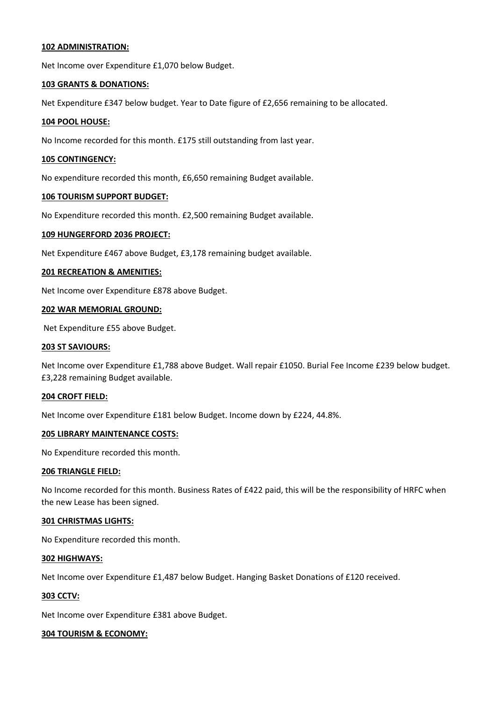#### **102 ADMINISTRATION:**

Net Income over Expenditure £1,070 below Budget.

#### **103 GRANTS & DONATIONS:**

Net Expenditure £347 below budget. Year to Date figure of £2,656 remaining to be allocated.

#### **104 POOL HOUSE:**

No Income recorded for this month. £175 still outstanding from last year.

#### **105 CONTINGENCY:**

No expenditure recorded this month, £6,650 remaining Budget available.

#### **106 TOURISM SUPPORT BUDGET:**

No Expenditure recorded this month. £2,500 remaining Budget available.

#### **109 HUNGERFORD 2036 PROJECT:**

Net Expenditure £467 above Budget, £3,178 remaining budget available.

#### **201 RECREATION & AMENITIES:**

Net Income over Expenditure £878 above Budget.

#### **202 WAR MEMORIAL GROUND:**

Net Expenditure £55 above Budget.

#### **203 ST SAVIOURS:**

Net Income over Expenditure £1,788 above Budget. Wall repair £1050. Burial Fee Income £239 below budget. £3,228 remaining Budget available.

#### **204 CROFT FIELD:**

Net Income over Expenditure £181 below Budget. Income down by £224, 44.8%.

#### **205 LIBRARY MAINTENANCE COSTS:**

No Expenditure recorded this month.

#### **206 TRIANGLE FIELD:**

No Income recorded for this month. Business Rates of £422 paid, this will be the responsibility of HRFC when the new Lease has been signed.

#### **301 CHRISTMAS LIGHTS:**

No Expenditure recorded this month.

#### **302 HIGHWAYS:**

Net Income over Expenditure £1,487 below Budget. Hanging Basket Donations of £120 received.

#### **303 CCTV:**

Net Income over Expenditure £381 above Budget.

#### **304 TOURISM & ECONOMY:**